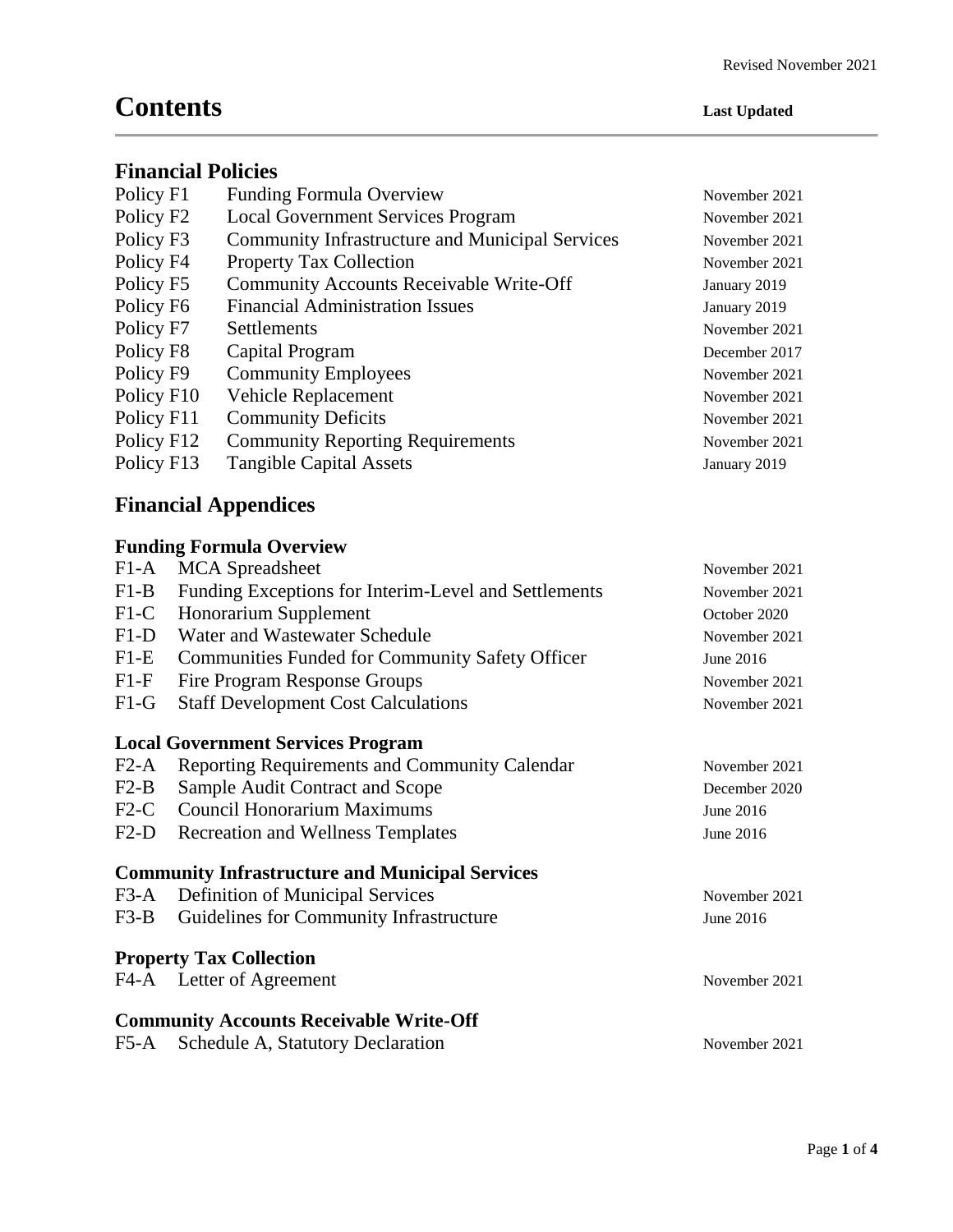# **Contents Last Updated**

#### **Financial Policies**

| Policy F1              | <b>Funding Formula Overview</b>                        | November 2021 |
|------------------------|--------------------------------------------------------|---------------|
| Policy F <sub>2</sub>  | <b>Local Government Services Program</b>               | November 2021 |
| Policy F3              | <b>Community Infrastructure and Municipal Services</b> | November 2021 |
| Policy F4              | <b>Property Tax Collection</b>                         | November 2021 |
| Policy F5              | <b>Community Accounts Receivable Write-Off</b>         | January 2019  |
| Policy F <sub>6</sub>  | <b>Financial Administration Issues</b>                 | January 2019  |
| Policy F7              | Settlements                                            | November 2021 |
| Policy F <sub>8</sub>  | Capital Program                                        | December 2017 |
| Policy F9              | <b>Community Employees</b>                             | November 2021 |
| Policy F <sub>10</sub> | Vehicle Replacement                                    | November 2021 |
| Policy F11             | <b>Community Deficits</b>                              | November 2021 |
| Policy F12             | <b>Community Reporting Requirements</b>                | November 2021 |
| Policy F13             | <b>Tangible Capital Assets</b>                         | January 2019  |
|                        |                                                        |               |

## **Financial Appendices**

### **Funding Formula Overview**

| $F1-A$                                         | <b>MCA</b> Spreadsheet                                 | November 2021 |  |  |
|------------------------------------------------|--------------------------------------------------------|---------------|--|--|
| $F1-B$                                         | Funding Exceptions for Interim-Level and Settlements   | November 2021 |  |  |
| $F1-C$                                         | Honorarium Supplement                                  | October 2020  |  |  |
| $F1-D$                                         | Water and Wastewater Schedule                          | November 2021 |  |  |
| $F1-E$                                         | <b>Communities Funded for Community Safety Officer</b> | June 2016     |  |  |
| $F1-F$                                         | Fire Program Response Groups                           | November 2021 |  |  |
| $F1-G$                                         | <b>Staff Development Cost Calculations</b>             | November 2021 |  |  |
|                                                | <b>Local Government Services Program</b>               |               |  |  |
| $F2-A$                                         | Reporting Requirements and Community Calendar          | November 2021 |  |  |
| $F2-B$                                         | Sample Audit Contract and Scope                        | December 2020 |  |  |
| $F2-C$                                         | <b>Council Honorarium Maximums</b>                     | June 2016     |  |  |
| $F2-D$                                         | <b>Recreation and Wellness Templates</b>               | June 2016     |  |  |
|                                                | <b>Community Infrastructure and Municipal Services</b> |               |  |  |
|                                                | F3-A Definition of Municipal Services                  | November 2021 |  |  |
| $F3-B$                                         | Guidelines for Community Infrastructure                | June 2016     |  |  |
|                                                | <b>Property Tax Collection</b>                         |               |  |  |
|                                                | F4-A Letter of Agreement                               | November 2021 |  |  |
| <b>Community Accounts Receivable Write-Off</b> |                                                        |               |  |  |
| F5-A                                           | Schedule A, Statutory Declaration                      | November 2021 |  |  |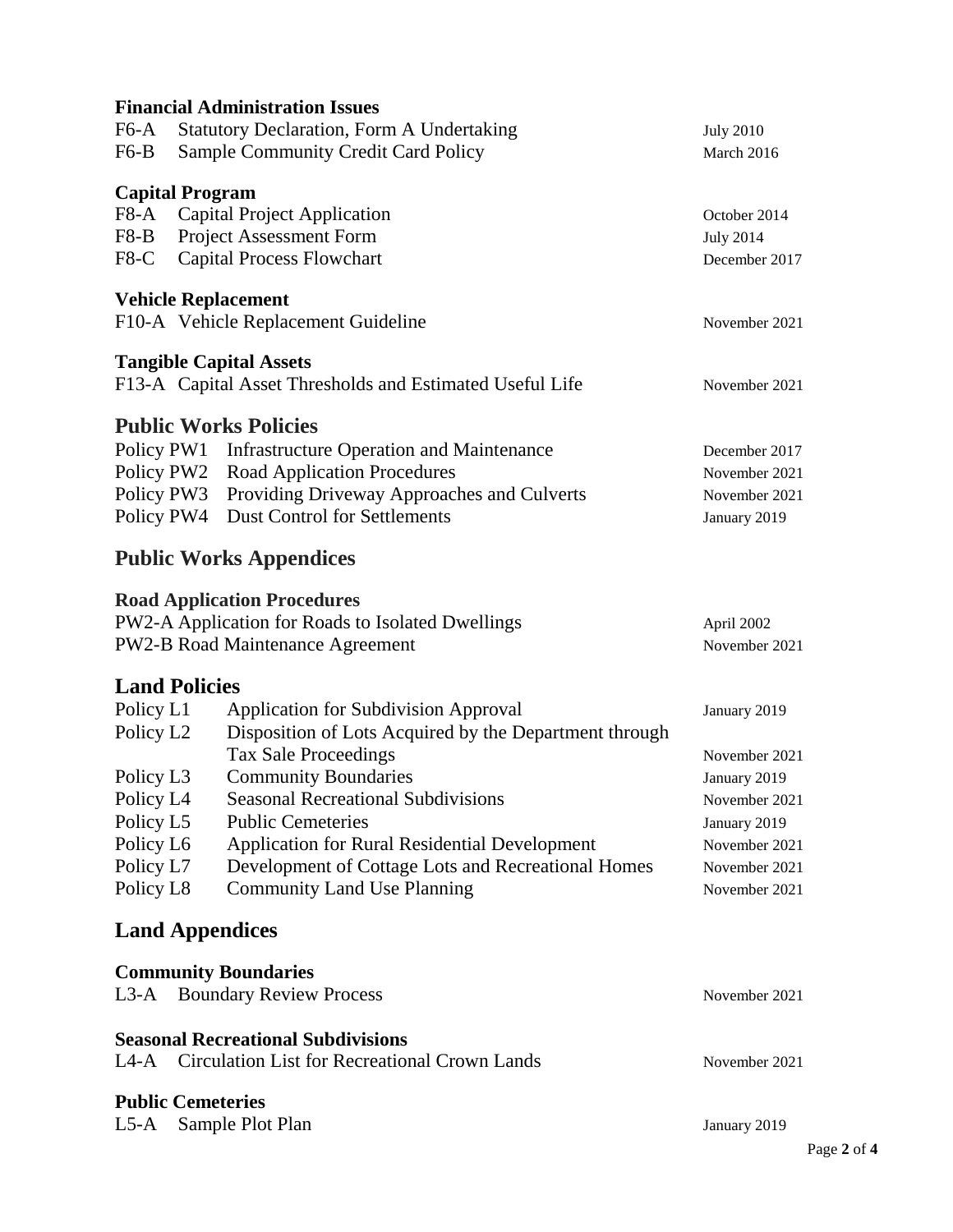|            | <b>Financial Administration Issues</b>                   |                  |
|------------|----------------------------------------------------------|------------------|
| F6-A       | <b>Statutory Declaration, Form A Undertaking</b>         | <b>July 2010</b> |
| F6-B       | <b>Sample Community Credit Card Policy</b>               | March 2016       |
|            |                                                          |                  |
|            | <b>Capital Program</b>                                   |                  |
| F8-A       | <b>Capital Project Application</b>                       | October 2014     |
| F8-B       | <b>Project Assessment Form</b>                           | <b>July 2014</b> |
| $F8-C$     | <b>Capital Process Flowchart</b>                         | December 2017    |
|            | <b>Vehicle Replacement</b>                               |                  |
|            | F10-A Vehicle Replacement Guideline                      | November 2021    |
|            |                                                          |                  |
|            | <b>Tangible Capital Assets</b>                           |                  |
|            | F13-A Capital Asset Thresholds and Estimated Useful Life | November 2021    |
|            | <b>Public Works Policies</b>                             |                  |
| Policy PW1 | <b>Infrastructure Operation and Maintenance</b>          | December 2017    |
| Policy PW2 | <b>Road Application Procedures</b>                       | November 2021    |
| Policy PW3 | Providing Driveway Approaches and Culverts               | November 2021    |
| Policy PW4 | <b>Dust Control for Settlements</b>                      | January 2019     |
|            |                                                          |                  |
|            | <b>Public Works Appendices</b>                           |                  |
|            | <b>Road Application Procedures</b>                       |                  |
|            | PW2-A Application for Roads to Isolated Dwellings        | April 2002       |
|            | <b>PW2-B Road Maintenance Agreement</b>                  | November 2021    |
|            |                                                          |                  |
|            | <b>Land Policies</b>                                     |                  |
| Policy L1  | <b>Application for Subdivision Approval</b>              | January 2019     |
| Policy L2  | Disposition of Lots Acquired by the Department through   |                  |
|            | <b>Tax Sale Proceedings</b>                              | November 2021    |
| Policy L3  | <b>Community Boundaries</b>                              | January 2019     |
| Policy L4  | <b>Seasonal Recreational Subdivisions</b>                | November 2021    |
| Policy L5  | <b>Public Cemeteries</b>                                 | January 2019     |
| Policy L6  | <b>Application for Rural Residential Development</b>     | November 2021    |
| Policy L7  | Development of Cottage Lots and Recreational Homes       | November 2021    |
| Policy L8  | <b>Community Land Use Planning</b>                       | November 2021    |
|            | <b>Land Appendices</b>                                   |                  |
|            |                                                          |                  |
|            | <b>Community Boundaries</b>                              |                  |
|            | L3-A Boundary Review Process                             | November 2021    |
|            | <b>Seasonal Recreational Subdivisions</b>                |                  |
|            | L4-A Circulation List for Recreational Crown Lands       | November 2021    |
|            |                                                          |                  |
|            | <b>Public Cemeteries</b>                                 |                  |
|            | L5-A Sample Plot Plan                                    | January 2019     |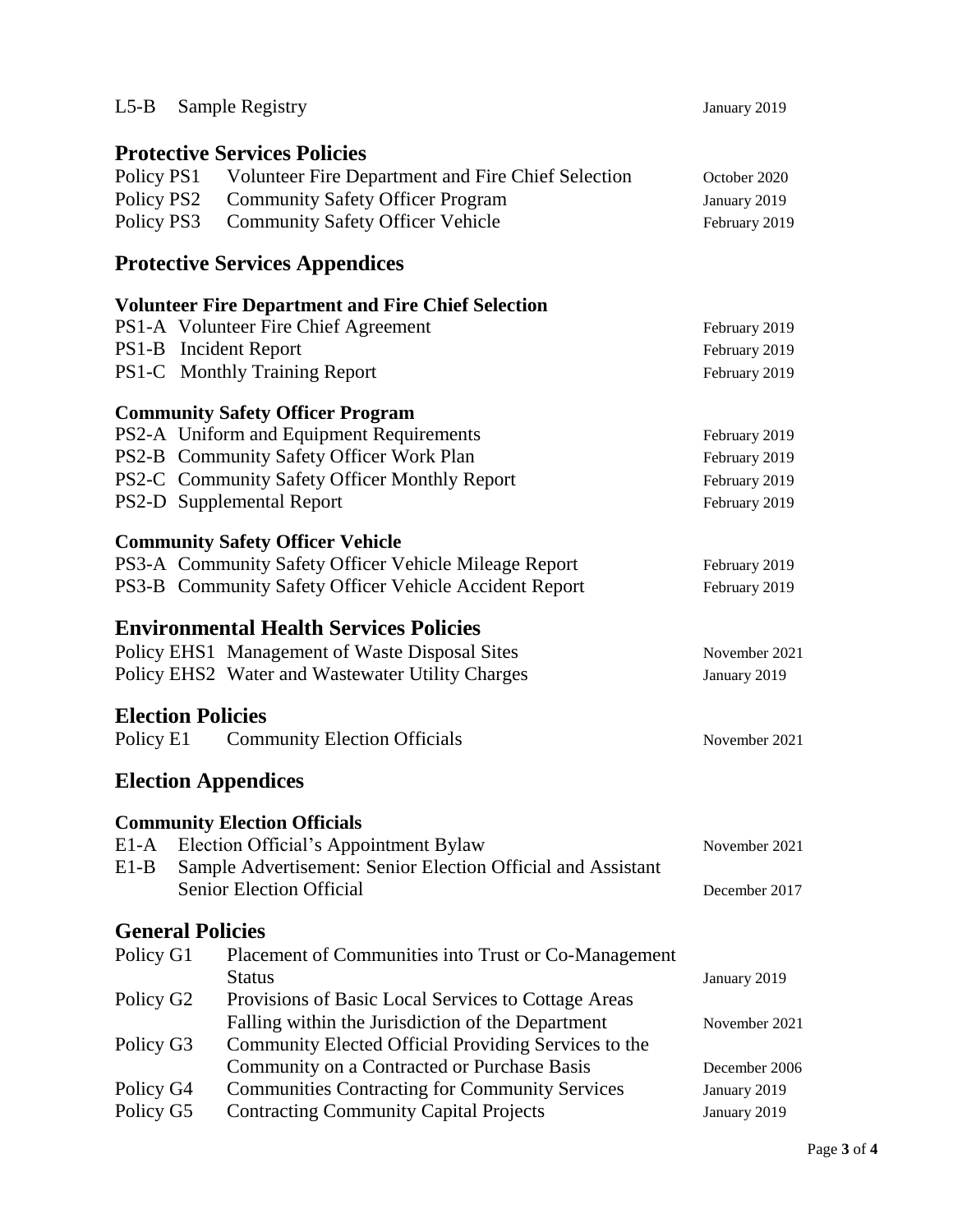|            | L5-B Sample Registry                                          | January 2019  |
|------------|---------------------------------------------------------------|---------------|
|            |                                                               |               |
|            | <b>Protective Services Policies</b>                           |               |
|            | Policy PS1 Volunteer Fire Department and Fire Chief Selection | October 2020  |
| Policy PS2 | <b>Community Safety Officer Program</b>                       | January 2019  |
| Policy PS3 | <b>Community Safety Officer Vehicle</b>                       | February 2019 |
|            |                                                               |               |
|            | <b>Protective Services Appendices</b>                         |               |
|            | <b>Volunteer Fire Department and Fire Chief Selection</b>     |               |
|            | PS1-A Volunteer Fire Chief Agreement                          | February 2019 |
|            | PS1-B Incident Report                                         | February 2019 |
|            | PS1-C Monthly Training Report                                 | February 2019 |
|            |                                                               |               |
|            | <b>Community Safety Officer Program</b>                       |               |
|            | PS2-A Uniform and Equipment Requirements                      | February 2019 |
|            | PS2-B Community Safety Officer Work Plan                      | February 2019 |
|            | PS2-C Community Safety Officer Monthly Report                 | February 2019 |
|            | PS2-D Supplemental Report                                     | February 2019 |
|            |                                                               |               |
|            | <b>Community Safety Officer Vehicle</b>                       |               |
|            | PS3-A Community Safety Officer Vehicle Mileage Report         | February 2019 |
|            | PS3-B Community Safety Officer Vehicle Accident Report        | February 2019 |
|            | <b>Environmental Health Services Policies</b>                 |               |
|            | Policy EHS1 Management of Waste Disposal Sites                | November 2021 |
|            | Policy EHS2 Water and Wastewater Utility Charges              |               |
|            |                                                               | January 2019  |
|            | <b>Election Policies</b>                                      |               |
|            | Policy E1 Community Election Officials                        | November 2021 |
|            |                                                               |               |
|            | <b>Election Appendices</b>                                    |               |
|            | <b>Community Election Officials</b>                           |               |
| E1-A       | Election Official's Appointment Bylaw                         | November 2021 |
| $E1-B$     | Sample Advertisement: Senior Election Official and Assistant  |               |
|            | Senior Election Official                                      | December 2017 |
|            | <b>General Policies</b>                                       |               |
|            |                                                               |               |
| Policy G1  | Placement of Communities into Trust or Co-Management          |               |
|            | <b>Status</b>                                                 | January 2019  |
| Policy G2  | Provisions of Basic Local Services to Cottage Areas           |               |
|            | Falling within the Jurisdiction of the Department             | November 2021 |
| Policy G3  | Community Elected Official Providing Services to the          |               |
|            | Community on a Contracted or Purchase Basis                   | December 2006 |
|            |                                                               |               |
| Policy G4  | <b>Communities Contracting for Community Services</b>         | January 2019  |
| Policy G5  | <b>Contracting Community Capital Projects</b>                 | January 2019  |